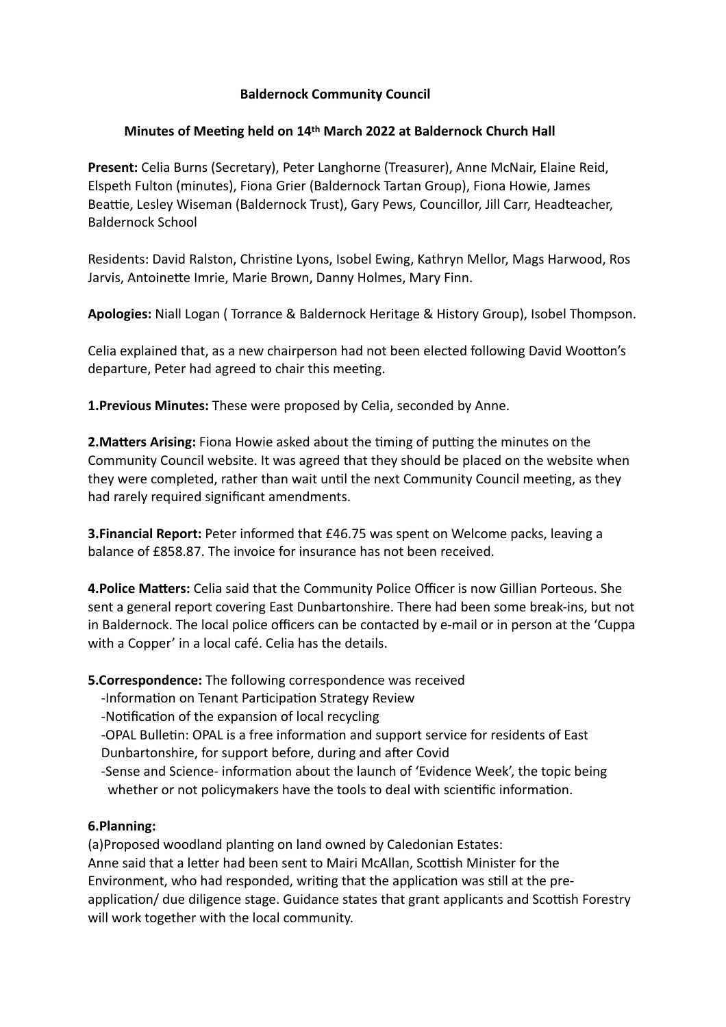## **Baldernock Community Council**

## **Minutes of Meeting held on 14th March 2022 at Baldernock Church Hall**

**Present:** Celia Burns (Secretary), Peter Langhorne (Treasurer), Anne McNair, Elaine Reid, Elspeth Fulton (minutes), Fiona Grier (Baldernock Tartan Group), Fiona Howie, James Beattie, Lesley Wiseman (Baldernock Trust), Gary Pews, Councillor, Jill Carr, Headteacher, Baldernock School

Residents: David Ralston, Christine Lyons, Isobel Ewing, Kathryn Mellor, Mags Harwood, Ros Jarvis, Antoinette Imrie, Marie Brown, Danny Holmes, Mary Finn.

**Apologies:** Niall Logan ( Torrance & Baldernock Heritage & History Group), Isobel Thompson.

Celia explained that, as a new chairperson had not been elected following David Wootton's departure, Peter had agreed to chair this meeting.

**1.Previous Minutes:** These were proposed by Celia, seconded by Anne.

**2. Matters Arising:** Fiona Howie asked about the timing of putting the minutes on the Community Council website. It was agreed that they should be placed on the website when they were completed, rather than wait until the next Community Council meeting, as they had rarely required significant amendments.

**3.Financial Report:** Peter informed that £46.75 was spent on Welcome packs, leaving a balance of £858.87. The invoice for insurance has not been received.

**4. Police Matters:** Celia said that the Community Police Officer is now Gillian Porteous. She sent a general report covering East Dunbartonshire. There had been some break-ins, but not in Baldernock. The local police officers can be contacted by e-mail or in person at the 'Cuppa with a Copper' in a local café. Celia has the details.

**5.Correspondence:** The following correspondence was received

- -Information on Tenant Participation Strategy Review
- -Notification of the expansion of local recycling
- -OPAL Bulletin: OPAL is a free information and support service for residents of East Dunbartonshire, for support before, during and after Covid
- -Sense and Science- information about the launch of 'Evidence Week', the topic being whether or not policymakers have the tools to deal with scientific information.

## **6.Planning:**

(a)Proposed woodland planting on land owned by Caledonian Estates: Anne said that a letter had been sent to Mairi McAllan, Scottish Minister for the Environment, who had responded, writing that the application was still at the preapplication/ due diligence stage. Guidance states that grant applicants and Scottish Forestry will work together with the local community.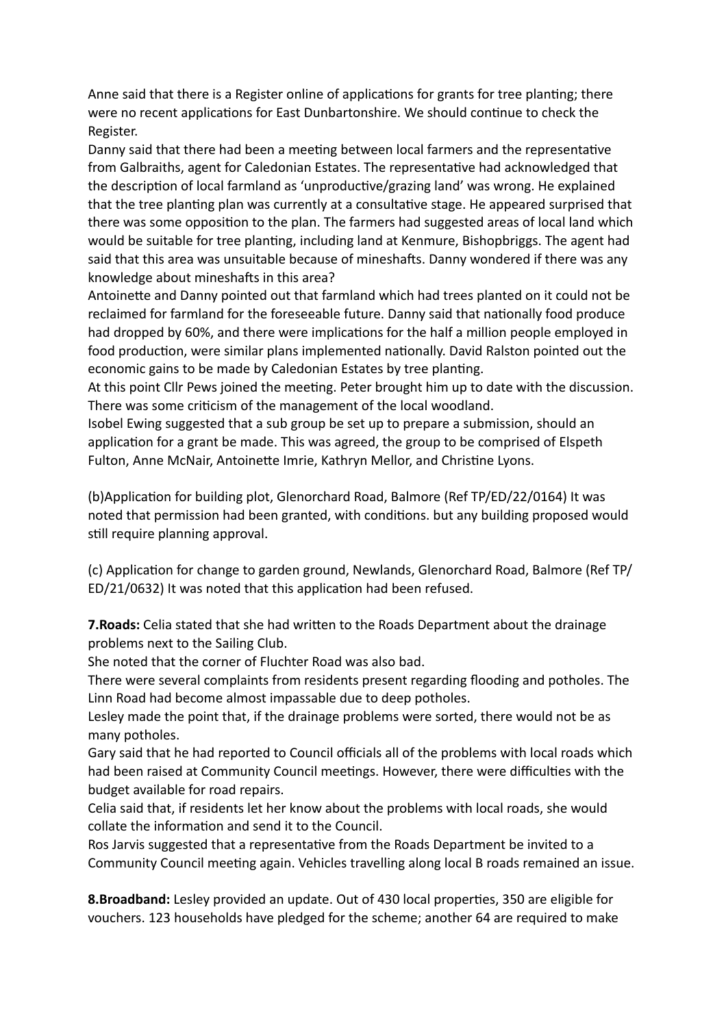Anne said that there is a Register online of applications for grants for tree planting; there were no recent applications for East Dunbartonshire. We should continue to check the Register.

Danny said that there had been a meeting between local farmers and the representative from Galbraiths, agent for Caledonian Estates. The representative had acknowledged that the description of local farmland as 'unproductive/grazing land' was wrong. He explained that the tree planting plan was currently at a consultative stage. He appeared surprised that there was some opposition to the plan. The farmers had suggested areas of local land which would be suitable for tree planting, including land at Kenmure, Bishopbriggs. The agent had said that this area was unsuitable because of mineshafts. Danny wondered if there was any knowledge about mineshafts in this area?

Antoinette and Danny pointed out that farmland which had trees planted on it could not be reclaimed for farmland for the foreseeable future. Danny said that nationally food produce had dropped by 60%, and there were implications for the half a million people employed in food production, were similar plans implemented nationally. David Ralston pointed out the economic gains to be made by Caledonian Estates by tree planting.

At this point Cllr Pews joined the meeting. Peter brought him up to date with the discussion. There was some criticism of the management of the local woodland.

Isobel Ewing suggested that a sub group be set up to prepare a submission, should an application for a grant be made. This was agreed, the group to be comprised of Elspeth Fulton, Anne McNair, Antoinette Imrie, Kathryn Mellor, and Christine Lyons.

(b)Application for building plot, Glenorchard Road, Balmore (Ref TP/ED/22/0164) It was noted that permission had been granted, with conditions. but any building proposed would still require planning approval.

(c) Application for change to garden ground, Newlands, Glenorchard Road, Balmore (Ref TP/ ED/21/0632) It was noted that this application had been refused.

**7. Roads:** Celia stated that she had written to the Roads Department about the drainage problems next to the Sailing Club.

She noted that the corner of Fluchter Road was also bad.

There were several complaints from residents present regarding flooding and potholes. The Linn Road had become almost impassable due to deep potholes.

Lesley made the point that, if the drainage problems were sorted, there would not be as many potholes.

Gary said that he had reported to Council officials all of the problems with local roads which had been raised at Community Council meetings. However, there were difficulties with the budget available for road repairs.

Celia said that, if residents let her know about the problems with local roads, she would collate the information and send it to the Council.

Ros Jarvis suggested that a representative from the Roads Department be invited to a Community Council meeting again. Vehicles travelling along local B roads remained an issue.

**8.Broadband:** Lesley provided an update. Out of 430 local properties, 350 are eligible for vouchers. 123 households have pledged for the scheme; another 64 are required to make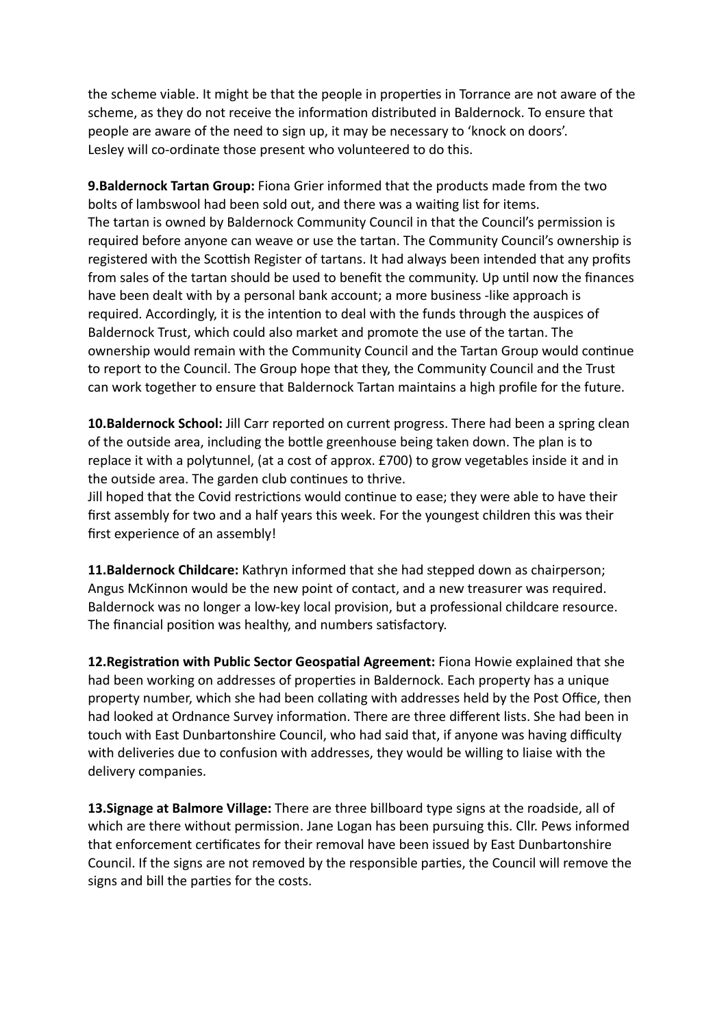the scheme viable. It might be that the people in properties in Torrance are not aware of the scheme, as they do not receive the information distributed in Baldernock. To ensure that people are aware of the need to sign up, it may be necessary to 'knock on doors'. Lesley will co-ordinate those present who volunteered to do this.

**9.Baldernock Tartan Group:** Fiona Grier informed that the products made from the two bolts of lambswool had been sold out, and there was a waiting list for items. The tartan is owned by Baldernock Community Council in that the Council's permission is required before anyone can weave or use the tartan. The Community Council's ownership is registered with the Scottish Register of tartans. It had always been intended that any profits from sales of the tartan should be used to benefit the community. Up until now the finances have been dealt with by a personal bank account; a more business -like approach is required. Accordingly, it is the intention to deal with the funds through the auspices of Baldernock Trust, which could also market and promote the use of the tartan. The ownership would remain with the Community Council and the Tartan Group would continue to report to the Council. The Group hope that they, the Community Council and the Trust can work together to ensure that Baldernock Tartan maintains a high profile for the future.

**10.Baldernock School:** Jill Carr reported on current progress. There had been a spring clean of the outside area, including the bottle greenhouse being taken down. The plan is to replace it with a polytunnel, (at a cost of approx. £700) to grow vegetables inside it and in the outside area. The garden club continues to thrive.

Jill hoped that the Covid restrictions would continue to ease; they were able to have their first assembly for two and a half years this week. For the youngest children this was their first experience of an assembly!

**11.Baldernock Childcare:** Kathryn informed that she had stepped down as chairperson; Angus McKinnon would be the new point of contact, and a new treasurer was required. Baldernock was no longer a low-key local provision, but a professional childcare resource. The financial position was healthy, and numbers satisfactory.

**12. Registration with Public Sector Geospatial Agreement:** Fiona Howie explained that she had been working on addresses of properties in Baldernock. Each property has a unique property number, which she had been collating with addresses held by the Post Office, then had looked at Ordnance Survey information. There are three different lists. She had been in touch with East Dunbartonshire Council, who had said that, if anyone was having difficulty with deliveries due to confusion with addresses, they would be willing to liaise with the delivery companies.

**13.Signage at Balmore Village:** There are three billboard type signs at the roadside, all of which are there without permission. Jane Logan has been pursuing this. Cllr. Pews informed that enforcement certificates for their removal have been issued by East Dunbartonshire Council. If the signs are not removed by the responsible parties, the Council will remove the signs and bill the parties for the costs.